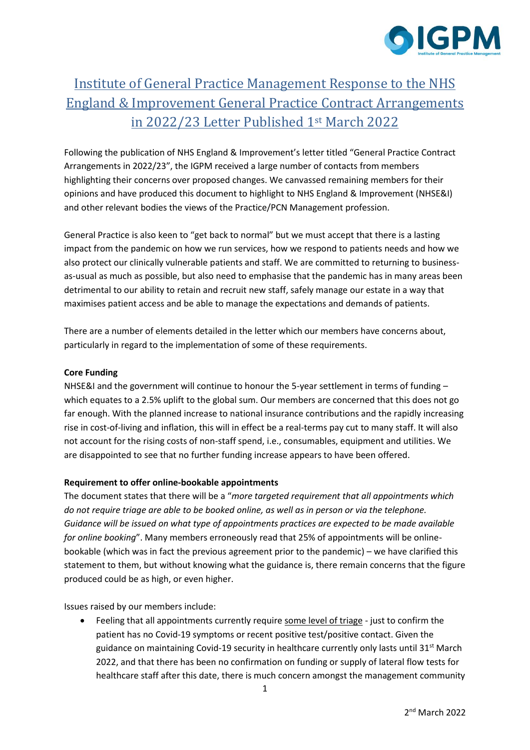

# Institute of General Practice Management Response to the NHS England & Improvement General Practice Contract Arrangements in 2022/23 Letter Published 1st March 2022

Following the publication of NHS England & Improvement's letter titled "General Practice Contract Arrangements in 2022/23", the IGPM received a large number of contacts from members highlighting their concerns over proposed changes. We canvassed remaining members for their opinions and have produced this document to highlight to NHS England & Improvement (NHSE&I) and other relevant bodies the views of the Practice/PCN Management profession.

General Practice is also keen to "get back to normal" but we must accept that there is a lasting impact from the pandemic on how we run services, how we respond to patients needs and how we also protect our clinically vulnerable patients and staff. We are committed to returning to businessas-usual as much as possible, but also need to emphasise that the pandemic has in many areas been detrimental to our ability to retain and recruit new staff, safely manage our estate in a way that maximises patient access and be able to manage the expectations and demands of patients.

There are a number of elements detailed in the letter which our members have concerns about, particularly in regard to the implementation of some of these requirements.

# **Core Funding**

NHSE&I and the government will continue to honour the 5-year settlement in terms of funding which equates to a 2.5% uplift to the global sum. Our members are concerned that this does not go far enough. With the planned increase to national insurance contributions and the rapidly increasing rise in cost-of-living and inflation, this will in effect be a real-terms pay cut to many staff. It will also not account for the rising costs of non-staff spend, i.e., consumables, equipment and utilities. We are disappointed to see that no further funding increase appears to have been offered.

## **Requirement to offer online-bookable appointments**

The document states that there will be a "*more targeted requirement that all appointments which do not require triage are able to be booked online, as well as in person or via the telephone. Guidance will be issued on what type of appointments practices are expected to be made available for online booking*". Many members erroneously read that 25% of appointments will be onlinebookable (which was in fact the previous agreement prior to the pandemic) – we have clarified this statement to them, but without knowing what the guidance is, there remain concerns that the figure produced could be as high, or even higher.

Issues raised by our members include:

• Feeling that all appointments currently require some level of triage - just to confirm the patient has no Covid-19 symptoms or recent positive test/positive contact. Given the guidance on maintaining Covid-19 security in healthcare currently only lasts until 31<sup>st</sup> March 2022, and that there has been no confirmation on funding or supply of lateral flow tests for healthcare staff after this date, there is much concern amongst the management community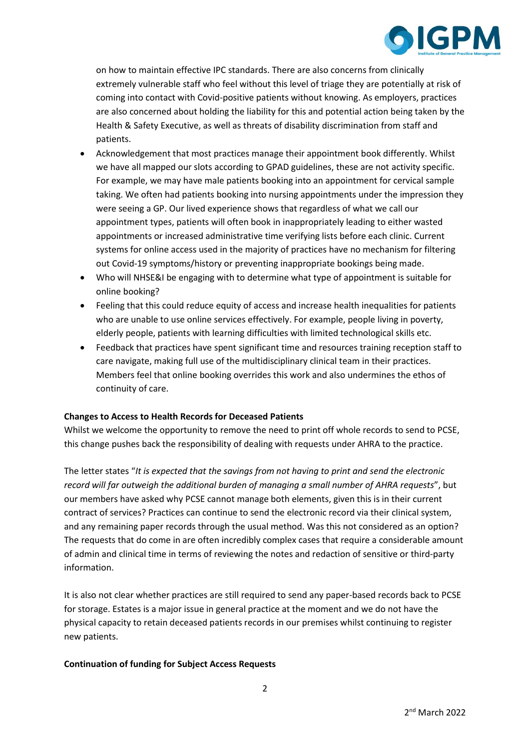

on how to maintain effective IPC standards. There are also concerns from clinically extremely vulnerable staff who feel without this level of triage they are potentially at risk of coming into contact with Covid-positive patients without knowing. As employers, practices are also concerned about holding the liability for this and potential action being taken by the Health & Safety Executive, as well as threats of disability discrimination from staff and patients.

- Acknowledgement that most practices manage their appointment book differently. Whilst we have all mapped our slots according to GPAD guidelines, these are not activity specific. For example, we may have male patients booking into an appointment for cervical sample taking. We often had patients booking into nursing appointments under the impression they were seeing a GP. Our lived experience shows that regardless of what we call our appointment types, patients will often book in inappropriately leading to either wasted appointments or increased administrative time verifying lists before each clinic. Current systems for online access used in the majority of practices have no mechanism for filtering out Covid-19 symptoms/history or preventing inappropriate bookings being made.
- Who will NHSE&I be engaging with to determine what type of appointment is suitable for online booking?
- Feeling that this could reduce equity of access and increase health inequalities for patients who are unable to use online services effectively. For example, people living in poverty, elderly people, patients with learning difficulties with limited technological skills etc.
- Feedback that practices have spent significant time and resources training reception staff to care navigate, making full use of the multidisciplinary clinical team in their practices. Members feel that online booking overrides this work and also undermines the ethos of continuity of care.

## **Changes to Access to Health Records for Deceased Patients**

Whilst we welcome the opportunity to remove the need to print off whole records to send to PCSE, this change pushes back the responsibility of dealing with requests under AHRA to the practice.

The letter states "*It is expected that the savings from not having to print and send the electronic record will far outweigh the additional burden of managing a small number of AHRA requests*", but our members have asked why PCSE cannot manage both elements, given this is in their current contract of services? Practices can continue to send the electronic record via their clinical system, and any remaining paper records through the usual method. Was this not considered as an option? The requests that do come in are often incredibly complex cases that require a considerable amount of admin and clinical time in terms of reviewing the notes and redaction of sensitive or third-party information.

It is also not clear whether practices are still required to send any paper-based records back to PCSE for storage. Estates is a major issue in general practice at the moment and we do not have the physical capacity to retain deceased patients records in our premises whilst continuing to register new patients.

## **Continuation of funding for Subject Access Requests**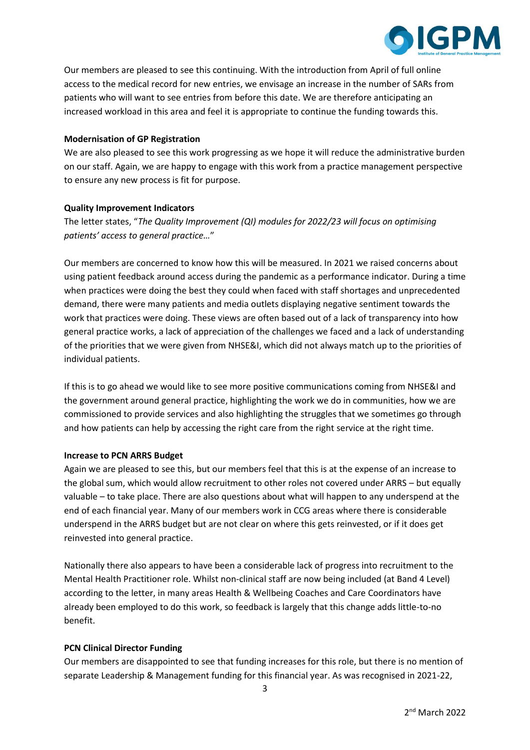

Our members are pleased to see this continuing. With the introduction from April of full online access to the medical record for new entries, we envisage an increase in the number of SARs from patients who will want to see entries from before this date. We are therefore anticipating an increased workload in this area and feel it is appropriate to continue the funding towards this.

### **Modernisation of GP Registration**

We are also pleased to see this work progressing as we hope it will reduce the administrative burden on our staff. Again, we are happy to engage with this work from a practice management perspective to ensure any new process is fit for purpose.

#### **Quality Improvement Indicators**

The letter states, "*The Quality Improvement (QI) modules for 2022/23 will focus on optimising patients' access to general practice…*"

Our members are concerned to know how this will be measured. In 2021 we raised concerns about using patient feedback around access during the pandemic as a performance indicator. During a time when practices were doing the best they could when faced with staff shortages and unprecedented demand, there were many patients and media outlets displaying negative sentiment towards the work that practices were doing. These views are often based out of a lack of transparency into how general practice works, a lack of appreciation of the challenges we faced and a lack of understanding of the priorities that we were given from NHSE&I, which did not always match up to the priorities of individual patients.

If this is to go ahead we would like to see more positive communications coming from NHSE&I and the government around general practice, highlighting the work we do in communities, how we are commissioned to provide services and also highlighting the struggles that we sometimes go through and how patients can help by accessing the right care from the right service at the right time.

## **Increase to PCN ARRS Budget**

Again we are pleased to see this, but our members feel that this is at the expense of an increase to the global sum, which would allow recruitment to other roles not covered under ARRS – but equally valuable – to take place. There are also questions about what will happen to any underspend at the end of each financial year. Many of our members work in CCG areas where there is considerable underspend in the ARRS budget but are not clear on where this gets reinvested, or if it does get reinvested into general practice.

Nationally there also appears to have been a considerable lack of progress into recruitment to the Mental Health Practitioner role. Whilst non-clinical staff are now being included (at Band 4 Level) according to the letter, in many areas Health & Wellbeing Coaches and Care Coordinators have already been employed to do this work, so feedback is largely that this change adds little-to-no benefit.

## **PCN Clinical Director Funding**

Our members are disappointed to see that funding increases for this role, but there is no mention of separate Leadership & Management funding for this financial year. As was recognised in 2021-22,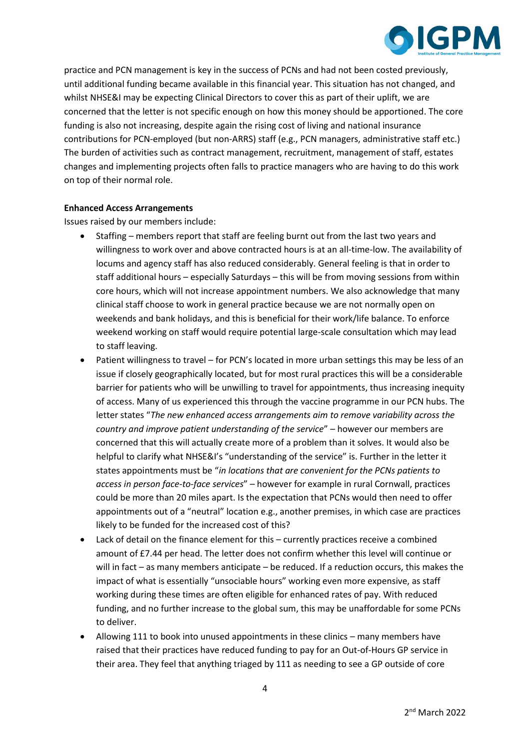

practice and PCN management is key in the success of PCNs and had not been costed previously, until additional funding became available in this financial year. This situation has not changed, and whilst NHSE&I may be expecting Clinical Directors to cover this as part of their uplift, we are concerned that the letter is not specific enough on how this money should be apportioned. The core funding is also not increasing, despite again the rising cost of living and national insurance contributions for PCN-employed (but non-ARRS) staff (e.g., PCN managers, administrative staff etc.) The burden of activities such as contract management, recruitment, management of staff, estates changes and implementing projects often falls to practice managers who are having to do this work on top of their normal role.

#### **Enhanced Access Arrangements**

Issues raised by our members include:

- Staffing members report that staff are feeling burnt out from the last two years and willingness to work over and above contracted hours is at an all-time-low. The availability of locums and agency staff has also reduced considerably. General feeling is that in order to staff additional hours – especially Saturdays – this will be from moving sessions from within core hours, which will not increase appointment numbers. We also acknowledge that many clinical staff choose to work in general practice because we are not normally open on weekends and bank holidays, and this is beneficial for their work/life balance. To enforce weekend working on staff would require potential large-scale consultation which may lead to staff leaving.
- Patient willingness to travel for PCN's located in more urban settings this may be less of an issue if closely geographically located, but for most rural practices this will be a considerable barrier for patients who will be unwilling to travel for appointments, thus increasing inequity of access. Many of us experienced this through the vaccine programme in our PCN hubs. The letter states "*The new enhanced access arrangements aim to remove variability across the country and improve patient understanding of the service*" – however our members are concerned that this will actually create more of a problem than it solves. It would also be helpful to clarify what NHSE&I's "understanding of the service" is. Further in the letter it states appointments must be "*in locations that are convenient for the PCNs patients to access in person face-to-face services*" – however for example in rural Cornwall, practices could be more than 20 miles apart. Is the expectation that PCNs would then need to offer appointments out of a "neutral" location e.g., another premises, in which case are practices likely to be funded for the increased cost of this?
- Lack of detail on the finance element for this currently practices receive a combined amount of £7.44 per head. The letter does not confirm whether this level will continue or will in fact – as many members anticipate – be reduced. If a reduction occurs, this makes the impact of what is essentially "unsociable hours" working even more expensive, as staff working during these times are often eligible for enhanced rates of pay. With reduced funding, and no further increase to the global sum, this may be unaffordable for some PCNs to deliver.
- Allowing 111 to book into unused appointments in these clinics many members have raised that their practices have reduced funding to pay for an Out-of-Hours GP service in their area. They feel that anything triaged by 111 as needing to see a GP outside of core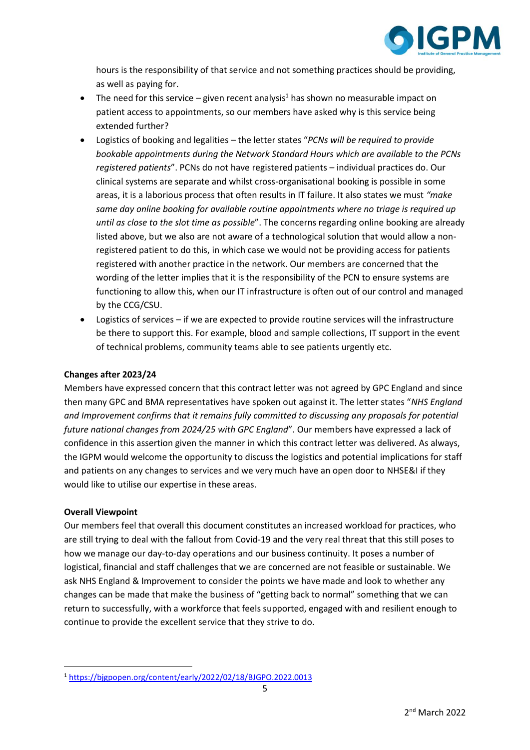

hours is the responsibility of that service and not something practices should be providing, as well as paying for.

- The need for this service given recent analysis<sup>1</sup> has shown no measurable impact on patient access to appointments, so our members have asked why is this service being extended further?
- Logistics of booking and legalities the letter states "*PCNs will be required to provide bookable appointments during the Network Standard Hours which are available to the PCNs registered patients*". PCNs do not have registered patients – individual practices do. Our clinical systems are separate and whilst cross-organisational booking is possible in some areas, it is a laborious process that often results in IT failure. It also states we must *"make same day online booking for available routine appointments where no triage is required up until as close to the slot time as possible*". The concerns regarding online booking are already listed above, but we also are not aware of a technological solution that would allow a nonregistered patient to do this, in which case we would not be providing access for patients registered with another practice in the network. Our members are concerned that the wording of the letter implies that it is the responsibility of the PCN to ensure systems are functioning to allow this, when our IT infrastructure is often out of our control and managed by the CCG/CSU.
- Logistics of services if we are expected to provide routine services will the infrastructure be there to support this. For example, blood and sample collections, IT support in the event of technical problems, community teams able to see patients urgently etc.

## **Changes after 2023/24**

Members have expressed concern that this contract letter was not agreed by GPC England and since then many GPC and BMA representatives have spoken out against it. The letter states "*NHS England and Improvement confirms that it remains fully committed to discussing any proposals for potential future national changes from 2024/25 with GPC England*". Our members have expressed a lack of confidence in this assertion given the manner in which this contract letter was delivered. As always, the IGPM would welcome the opportunity to discuss the logistics and potential implications for staff and patients on any changes to services and we very much have an open door to NHSE&I if they would like to utilise our expertise in these areas.

## **Overall Viewpoint**

Our members feel that overall this document constitutes an increased workload for practices, who are still trying to deal with the fallout from Covid-19 and the very real threat that this still poses to how we manage our day-to-day operations and our business continuity. It poses a number of logistical, financial and staff challenges that we are concerned are not feasible or sustainable. We ask NHS England & Improvement to consider the points we have made and look to whether any changes can be made that make the business of "getting back to normal" something that we can return to successfully, with a workforce that feels supported, engaged with and resilient enough to continue to provide the excellent service that they strive to do.

<sup>1</sup> <https://bjgpopen.org/content/early/2022/02/18/BJGPO.2022.0013>